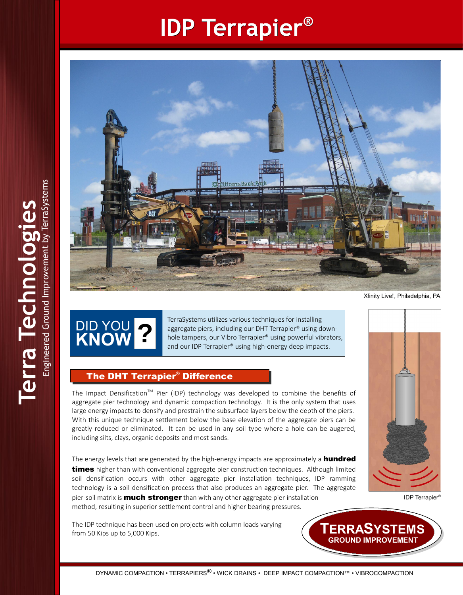## **IDP Terrapier®**



Xfinity Live!, Philadelphia, PA

DID YOU **KNOW ?**

TerraSystems utilizes various techniques for installing aggregate piers, including our DHT Terrapier® using downhole tampers, our Vibro Terrapier® using powerful vibrators, and our IDP Terrapier® using high-energy deep impacts.

#### The DHT Terrapier**®** The DHT Terrapier Difference **®**

The Impact Densification<sup>™</sup> Pier (IDP) technology was developed to combine the benefits of aggregate pier technology and dynamic compaction technology. It is the only system that uses large energy impacts to densify and prestrain the subsurface layers below the depth of the piers. With this unique technique settlement below the base elevation of the aggregate piers can be greatly reduced or eliminated. It can be used in any soil type where a hole can be augered, including silts, clays, organic deposits and most sands.

The energy levels that are generated by the high-energy impacts are approximately a **hundred times** higher than with conventional aggregate pier construction techniques. Although limited soil densification occurs with other aggregate pier installation techniques, IDP ramming technology is a soil densification process that also produces an aggregate pier. The aggregate pier-soil matrix is **much stronger** than with any other aggregate pier installation method, resulting in superior settlement control and higher bearing pressures.

The IDP technique has been used on projects with column loads varying from 50 Kips up to 5,000 Kips.



IDP Terrapier®

**TERRASYSTEMS TERRASYSTEMS GROUND IMPROVEMENT GROUND IMPROVEMENT**